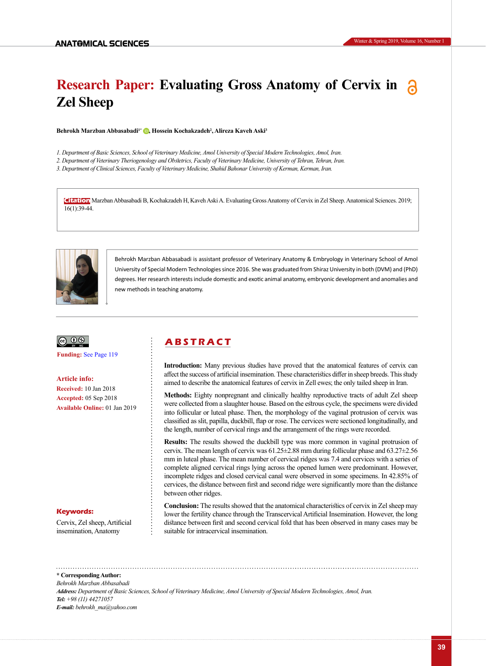# **Research Paper: Evaluating Gross Anatomy of Cervix in Zel Sheep**

**Behrokh Marzban Abbasabadi1\* [,](https://orcid.org/0000-0002-6841-0394) Hossein Kochakzadeh2 , Alireza Kaveh Aski3**

*1. Department of Basic Sciences, School of Veterinary Medicine, Amol University of Special Modern Technologies, Amol, Iran.*

*2. Department of Veterinary Theriogenology and Obstetrics, Faculty of Veterinary Medicine, University of Tehran, Tehran, Iran.*

*3. Department of Clinical Sciences, Faculty of Veterinary Medicine, Shahid Bahonar University of Kerman, Kerman, Iran.*

**Citation** Marzban Abbasabadi B, Kochakzadeh H, Kaveh Aski A. Evaluating Gross Anatomy of Cervix in Zel Sheep. Anatomical Sciences. 2019; 16(1):39-44.



Behrokh Marzban Abbasabadi is assistant professor of Veterinary Anatomy & Embryology in Veterinary School of Amol University of Special Modern Technologies since 2016. She was graduated from Shiraz University in both (DVM) and (PhD) degrees. Her research interests include domestic and exotic animal anatomy, embryonic development and anomalies and new methods in teaching anatomy.



**Funding:** [See Page 119](#page-4-0)

**Article info: Received:** 10 Jan 2018 **Accepted:** 05 Sep 2018 **Available Online:** 01 Jan 2019

#### **Keywords:**

Cervix, Zel sheep, Artificial insemination, Anatomy

## **A B S T R A C T**

**Introduction:** Many previous studies have proved that the anatomical features of cervix can affect the success of artificial insemination. These characteristics differ in sheep breeds. This study aimed to describe the anatomical features of cervix in Zell ewes; the only tailed sheep in Iran.

**Methods:** Eighty nonpregnant and clinically healthy reproductive tracts of adult Zel sheep were collected from a slaughter house. Based on the estrous cycle, the specimens were divided into follicular or luteal phase. Then, the morphology of the vaginal protrusion of cervix was classified as slit, papilla, duckbill, flap or rose. The cervices were sectioned longitudinally, and the length, number of cervical rings and the arrangement of the rings were recorded.

**Results:** The results showed the duckbill type was more common in vaginal protrusion of cervix. The mean length of cervix was 61.25±2.88 mm during follicular phase and 63.27±2.56 mm in luteal phase. The mean number of cervical ridges was 7.4 and cervices with a series of complete aligned cervical rings lying across the opened lumen were predominant. However, incomplete ridges and closed cervical canal were observed in some specimens. In 42.85% of cervices, the distance between first and second ridge were significantly more than the distance between other ridges.

**Conclusion:** The results showed that the anatomical characteristics of cervix in Zel sheep may lower the fertility chance through the Transcervical Artificial Insemination. However, the long distance between first and second cervical fold that has been observed in many cases may be suitable for intracervical insemination.

**\* Corresponding Author:** *Behrokh Marzban Abbasabadi Address: Department of Basic Sciences, School of Veterinary Medicine, Amol University of Special Modern Technologies, Amol, Iran. Tel: +98 (11) 44271057 E-mail: behrokh\_ma@yahoo.com*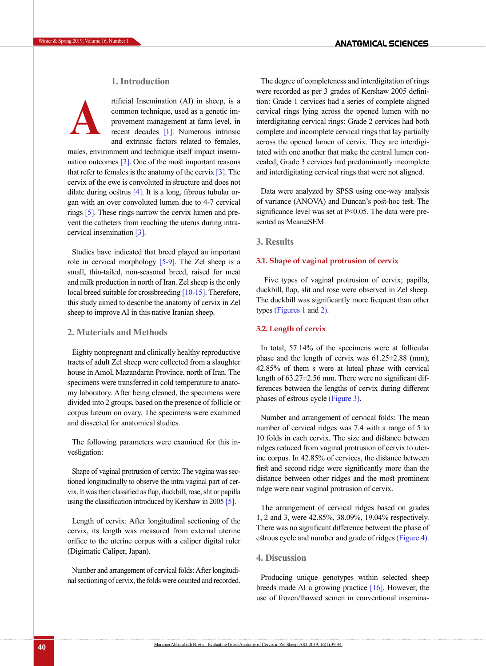## **1. Introduction**



rtificial Insemination (AI) in sheep, is a common technique, used as a genetic improvement management at farm level, in recent decades [\[1\]](#page-4-1). Numerous intrinsic and extrinsic factors related to females,

males, environment and technique itself impact insemination outcomes [2]. One of the most important reasons that refer to females is the anatomy of the cervix  $[3]$ . The cervix of the ewe is convoluted in structure and does not dilate during oestrus [\[4\]](#page-4-3). It is a long, fibrous tubular organ with an over convoluted lumen due to 4-7 cervical rings [\[5\].](#page-4-4) These rings narrow the cervix lumen and prevent the catheters from reaching the uterus during intracervical insemination [\[3\].](#page-4-2)

Studies have indicated that breed played an important role in cervical morphology [\[5-9\]](#page-4-4). The Zel sheep is a small, thin-tailed, non-seasonal breed, raised for meat and milk production in north of Iran. Zel sheep is the only local breed suitable for crossbreeding [\[10-15\]](#page-4-5). Therefore, this study aimed to describe the anatomy of cervix in Zel sheep to improve AI in this native Iranian sheep.

## **2. Materials and Methods**

Eighty nonpregnant and clinically healthy reproductive tracts of adult Zel sheep were collected from a slaughter house in Amol, Mazandaran Province, north of Iran. The specimens were transferred in cold temperature to anatomy laboratory. After being cleaned, the specimens were divided into 2 groups, based on the presence of follicle or corpus luteum on ovary. The specimens were examined and dissected for anatomical studies.

The following parameters were examined for this investigation:

Shape of vaginal protrusion of cervix: The vagina was sectioned longitudinally to observe the intra vaginal part of cervix. It was then classified as flap, duckbill, rose, slit or papilla using the classification introduced by Kershaw in 2005 [\[5\]](#page-4-4).

Length of cervix: After longitudinal sectioning of the cervix, its length was measured from external uterine orifice to the uterine corpus with a caliper digital ruler (Digimatic Caliper, Japan).

Number and arrangement of cervical folds: After longitudinal sectioning of cervix, the folds were counted and recorded.

The degree of completeness and interdigitation of rings were recorded as per 3 grades of Kershaw 2005 definition: Grade 1 cervices had a series of complete aligned cervical rings lying across the opened lumen with no interdigitating cervical rings; Grade 2 cervices had both complete and incomplete cervical rings that lay partially across the opened lumen of cervix. They are interdigitated with one another that make the central lumen concealed; Grade 3 cervices had predominantly incomplete and interdigitating cervical rings that were not aligned.

Data were analyzed by SPSS using one-way analysis of variance (ANOVA) and Duncan's post-hoc test. The significance level was set at P<0.05. The data were presented as Mean±SEM.

## **3. Results**

## **3.1. Shape of vaginal protrusion of cervix**

 Five types of vaginal protrusion of cervix; papilla, duckbill, flap, slit and rose were observed in Zel sheep. The duckbill was significantly more frequent than other types [\(Figures 1](#page-2-0) and [2\)](#page-2-1).

## **3.2. Length of cervix**

In total, 57.14% of the specimens were at follicular phase and the length of cervix was 61.25±2.88 (mm); 42.85% of them s were at luteal phase with cervical length of 63.27±2.56 mm. There were no significant differences between the lengths of cervix during different phases of estrous cycle [\(Figure 3\)](#page-3-0).

Number and arrangement of cervical folds: The mean number of cervical ridges was 7.4 with a range of 5 to 10 folds in each cervix. The size and distance between ridges reduced from vaginal protrusion of cervix to uterine corpus. In 42.85% of cervices, the distance between first and second ridge were significantly more than the distance between other ridges and the most prominent ridge were near vaginal protrusion of cervix.

The arrangement of cervical ridges based on grades 1, 2 and 3, were 42.85%, 38.09%, 19.04% respectively. There was no significant difference between the phase of estrous cycle and number and grade of ridges [\(Figure 4\)](#page-3-1).

## **4. Discussion**

Producing unique genotypes within selected sheep breeds made AI a growing practice  $[16]$ . However, the use of frozen/thawed semen in conventional insemina-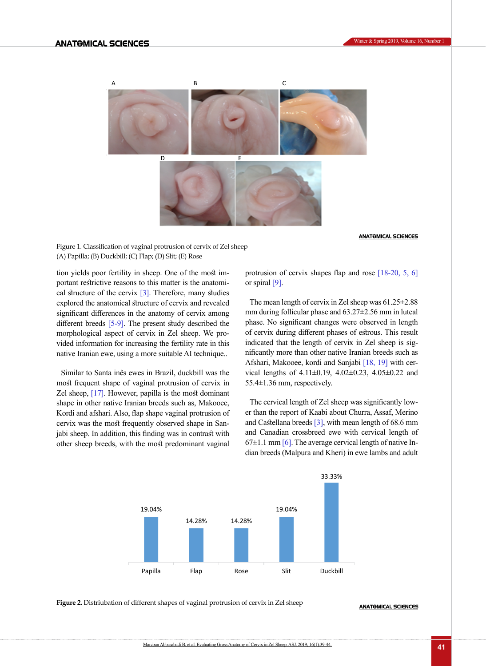

#### **ANATOMICAL SCIENCES**

<span id="page-2-0"></span>Figure 1. Classification of vaginal protrusion of cervix of Zel sheep (A) Papilla; (B) Duckbill; (C) Flap; (D) Slit; (E) Rose

tion yields poor fertility in sheep. One of the most important restrictive reasons to this matter is the anatomical structure of the cervix  $\lceil 3 \rceil$ . Therefore, many studies explored the anatomical structure of cervix and revealed significant differences in the anatomy of cervix among different breeds [\[5-9\]](#page-4-4). The present study described the morphological aspect of cervix in Zel sheep. We provided information for increasing the fertility rate in this native Iranian ewe, using a more suitable AI technique..

Similar to Santa inês ewes in Brazil, duckbill was the most frequent shape of vaginal protrusion of cervix in Zel sheep, [17]. However, papilla is the most dominant shape in other native Iranian breeds such as, Makooee, Kordi and afshari. Also, flap shape vaginal protrusion of cervix was the most frequently observed shape in Sanjabi sheep. In addition, this finding was in contrast with other sheep breeds, with the most predominant vaginal

protrusion of cervix shapes flap and rose [\[18-20,](#page-4-7) [5,](#page-4-4) [6\]](#page-4-8)  or spiral [\[9\].](#page-4-9)

The mean length of cervix in Zel sheep was 61.25±2.88 mm during follicular phase and 63.27±2.56 mm in luteal phase. No significant changes were observed in length of cervix during different phases of estrous. This result indicated that the length of cervix in Zel sheep is significantly more than other native Iranian breeds such as Afshari, Makooee, kordi and Sanjabi [\[18,](#page-4-7) [19\]](#page-4-10) with cervical lengths of 4.11±0.19, 4.02±0.23, 4.05±0.22 and 55.4±1.36 mm, respectively.

The cervical length of Zel sheep was significantly lower than the report of Kaabi about Churra, Assaf, Merino and Castellana breeds  $[3]$ , with mean length of 68.6 mm and Canadian crossbreed ewe with cervical length of  $67\pm1.1$  mm  $[6]$ . The average cervical length of native Indian breeds (Malpura and Kheri) in ewe lambs and adult



<span id="page-2-1"></span>**Figure 2.** Distriubation of different shapes of vaginal protrusion of cervix in Zel sheep

**ANATOMICAL SCIENCES**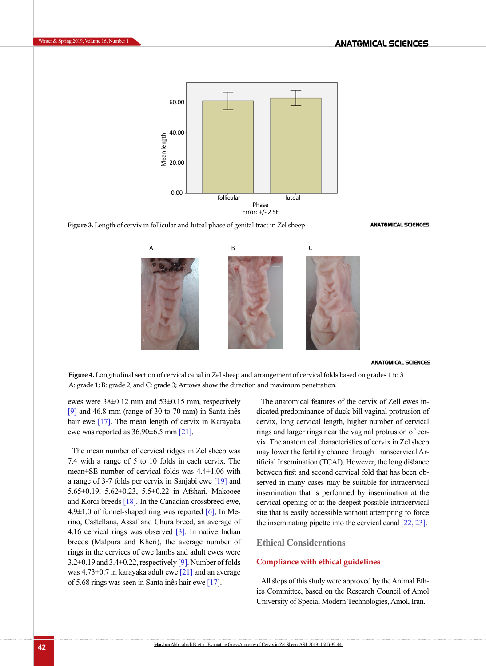Winter & Spring 2019, Volume 16, Number 1



<span id="page-3-0"></span>**Figure 3.** Length of cervix in follicular and luteal phase of genital tract in Zel sheep



#### **ANATOMICAL SCIENCES**

**ANATOMICAL SCIENCES** 

<span id="page-3-1"></span>**Figure 4.** Longitudinal section of cervical canal in Zel sheep and arrangement of cervical folds based on grades 1 to 3 A: grade 1; B: grade 2; and C: grade 3; Arrows show the direction and maximum penetration.

ewes were  $38\pm0.12$  mm and  $53\pm0.15$  mm, respectively [\[9\]](#page-4-9) and 46.8 mm (range of 30 to 70 mm) in Santa inês hair ewe [17]. The mean length of cervix in Karayaka ewe was reported as  $36.90\pm6.5$  mm [\[21\]](#page-5-0).

The mean number of cervical ridges in Zel sheep was 7.4 with a range of 5 to 10 folds in each cervix. The mean±SE number of cervical folds was 4.4±1.06 with a range of 3-7 folds per cervix in Sanjabi ewe [\[19\]](#page-4-10) and 5.65±0.19, 5.62±0.23, 5.5±0.22 in Afshari, Makooee and Kordi breeds [\[18\].](#page-4-7) In the Canadian crossbreed ewe, 4.9 $\pm$ 1.0 of funnel-shaped ring was reported  $[6]$ , In Merino, Castellana, Assaf and Chura breed, an average of 4.16 cervical rings was observed [\[3\].](#page-4-2) In native Indian breeds (Malpura and Kheri), the average number of rings in the cervices of ewe lambs and adult ewes were 3.2±0.19 and 3.4±0.22, respectively [\[9\].](#page-4-9) Number of folds was  $4.73\pm0.7$  in karayaka adult ewe [\[21\]](#page-5-0) and an average of 5.68 rings was seen in Santa inês hair ewe [17].

The anatomical features of the cervix of Zell ewes indicated predominance of duck-bill vaginal protrusion of cervix, long cervical length, higher number of cervical rings and larger rings near the vaginal protrusion of cervix. The anatomical characteristics of cervix in Zel sheep may lower the fertility chance through Transcervical Artificial Insemination (TCAI). However, the long distance between first and second cervical fold that has been observed in many cases may be suitable for intracervical insemination that is performed by insemination at the cervical opening or at the deepest possible intracervical site that is easily accessible without attempting to force the inseminating pipette into the cervical canal [\[22,](#page-5-1) [23\].](#page-5-2)

## **Ethical Considerations**

## **Compliance with ethical guidelines**

All steps of this study were approved by the Animal Ethics Committee, based on the Research Council of Amol University of Special Modern Technologies, Amol, Iran.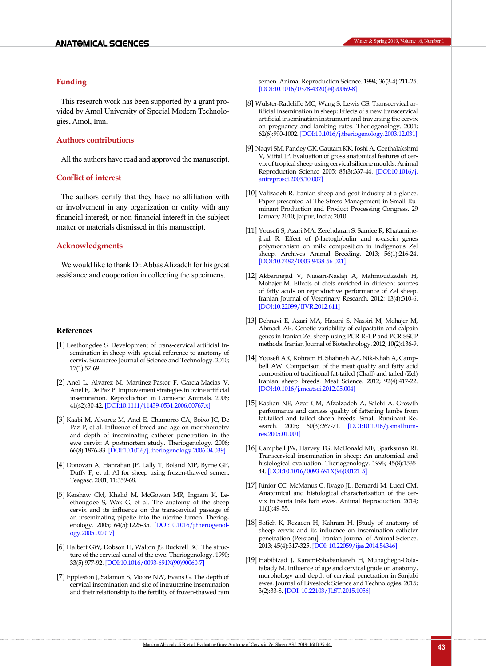## <span id="page-4-0"></span>**Funding**

This research work has been supported by a grant provided by Amol University of Special Modern Technologies, Amol, Iran.

## **Authors contributions**

All the authors have read and approved the manuscript.

## **Conflict of interest**

The authors certify that they have no affiliation with or involvement in any organization or entity with any financial interest, or non-financial interest in the subject matter or materials dismissed in this manuscript.

## **Acknowledgments**

We would like to thank Dr. Abbas Alizadeh for his great assistance and cooperation in collecting the specimens.

#### **References**

- <span id="page-4-1"></span>[1] Leethongdee S. Development of trans-cervical artificial Insemination in sheep with special reference to anatomy of cervix. Suranaree Journal of Science and Technology. 2010; 17(1):57-69.
- [2] Anel L, Alvarez M, Martinez-Pastor F, Garcia-Macias V, Anel E, De Paz P. Improvement strategies in ovine artificial insemination. Reproduction in Domestic Animals. 2006; 41(s2):30-42. [\[DOI:10.1111/j.1439-0531.2006.00767.x\]](https://doi.org/10.1111/j.1439-0531.2006.00767.x)
- <span id="page-4-2"></span>[3] Kaabi M, Alvarez M, Anel E, Chamorro CA, Boixo JC, De Paz P, et al. Influence of breed and age on morphometry and depth of inseminating catheter penetration in the ewe cervix: A postmortem study. Theriogenology. 2006; 66(8):1876-83. [\[DOI:10.1016/j.theriogenology.2006.04.039\]](https://doi.org/10.1016/j.theriogenology.2006.04.039)
- <span id="page-4-3"></span>[4] Donovan A, Hanrahan JP, Lally T, Boland MP, Byrne GP, Duffy P, et al. AI for sheep using frozen-thawed semen. Teagasc. 2001; 11:359-68.
- <span id="page-4-4"></span>[5] Kershaw CM, Khalid M, McGowan MR, Ingram K, Leethongdee S, Wax G, et al. The anatomy of the sheep cervix and its influence on the transcervical passage of an inseminating pipette into the uterine lumen. Theriogenology. 2005; 64(5):1225-35. [\[DOI:10.1016/j.theriogenol](https://doi.org/10.1016/j.theriogenology.2005.02.017)[ogy.2005.02.017](https://doi.org/10.1016/j.theriogenology.2005.02.017)]
- <span id="page-4-8"></span>[6] Halbert GW, Dobson H, Walton JS, Buckrell BC. The structure of the cervical canal of the ewe. Theriogenology. 1990; 33(5):977-92. [\[DOI:10.1016/0093-691X\(90\)90060-7](https://doi.org/10.1016/0093-691X(90)90060-7)]
- [7] Eppleston J, Salamon S, Moore NW, Evans G. The depth of cervical insemination and site of intrauterine insemination and their relationship to the fertility of frozen-thawed ram

semen. Animal Reproduction Science. 1994; 36(3-4):211-25. [\[DOI:10.1016/0378-4320\(94\)90069-8](https://doi.org/10.1016/0378-4320(94)90069-8)]

- [8] Wulster-Radcliffe MC, Wang S, Lewis GS. Transcervical artificial insemination in sheep: Effects of a new transcervical artificial insemination instrument and traversing the cervix on pregnancy and lambing rates. Theriogenology. 2004; 62(6):990-1002. [\[DOI:10.1016/j.theriogenology.2003.12.031](https://doi.org/10.1016/j.theriogenology.2003.12.031)]
- <span id="page-4-9"></span>[9] Naqvi SM, Pandey GK, Gautam KK, Joshi A, Geethalakshmi V, Mittal JP. Evaluation of gross anatomical features of cervix of tropical sheep using cervical silicone moulds. Animal Reproduction Science 2005; 85(3):337-44. [\[DOI:10.1016/j.](https://doi.org/10.1016/j.anireprosci.2003.10.007) [anireprosci.2003.10.007](https://doi.org/10.1016/j.anireprosci.2003.10.007)]
- <span id="page-4-5"></span>[10] Valizadeh R. Iranian sheep and goat industry at a glance. Paper presented at The Stress Management in Small Ruminant Production and Product Processing Congress. 29 January 2010; Jaipur, India; 2010.
- [11] Yousefi S, Azari MA, Zerehdaran S, Samiee R, Khataminejhad R. Effect of β-lactoglobulin and κ-casein genes polymorphism on milk composition in indigenous Zel sheep. Archives Animal Breeding. 2013; 56(1):216-24. [\[DOI:10.7482/0003-9438-56-021](https://doi.org/10.7482/0003-9438-56-021)]
- [12] Akbarinejad V, Niasari-Naslaji A, Mahmoudzadeh H, Mohajer M. Effects of diets enriched in different sources of fatty acids on reproductive performance of Zel sheep. Iranian Journal of Veterinary Research. 2012; 13(4):310-6. [DOI:[10.22099/IJVR.2012.611](http://dx.doi.org/10.22099/ijvr.2012.611)]
- [13] Dehnavi E, Azari MA, Hasani S, Nassiri M, Mohajer M, Ahmadi AR. Genetic variability of calpastatin and calpain genes in Iranian Zel sheep using PCR-RFLP and PCR-SSCP methods. Iranian Journal of Biotechnology. 2012; 10(2):136-9.
- [14] Yousefi AR, Kohram H, Shahneh AZ, Nik-Khah A, Campbell AW. Comparison of the meat quality and fatty acid composition of traditional fat-tailed (Chall) and tailed (Zel) Iranian sheep breeds. Meat Science. 2012; 92(4):417-22. [\[DOI:10.1016/j.meatsci.2012.05.004](https://doi.org/10.1016/j.meatsci.2012.05.004)]
- [15] Kashan NE, Azar GM, Afzalzadeh A, Salehi A. Growth performance and carcass quality of fattening lambs from fat-tailed and tailed sheep breeds. Small Ruminant Re-search. 2005; 60(3):267-71. [[DOI:10.1016/j.smallrum](https://doi.org/10.1016/j.smallrumres.2005.01.001)[res.2005.01.001\]](https://doi.org/10.1016/j.smallrumres.2005.01.001)
- <span id="page-4-6"></span>[16] Campbell JW, Harvey TG, McDonald MF, Sparksman RI. Transcervical insemination in sheep: An anatomical and histological evaluation. Theriogenology. 1996; 45(8):1535- 44. [[DOI:10.1016/0093-691X\(96\)00121-5](https://doi.org/10.1016/0093-691X(96)00121-5)]
- [17] Júnior CC, McManus C, Jivago JL, Bernardi M, Lucci CM. Anatomical and histological characterization of the cervix in Santa Inês hair ewes. Animal Reproduction. 2014; 11(1):49-55.
- <span id="page-4-7"></span>[18] Sofieh K, Rezaeen H, Kahram H. [Study of anatomy of sheep cervix and its influence on insemination catheter penetration (Persian)]. Iranian Journal of Animal Science. 2013; 45(4):317-325. [DOI: [10.22059/ijas.2014.54346\]](https://dx.doi.org/10.22059/ijas.2014.54346)
- <span id="page-4-10"></span>[19] Habibizad J, Karami-Shabankareh H, Muhaghegh-Dolatabady M. Influence of age and cervical grade on anatomy, morphology and depth of cervical penetration in Sanjabi ewes. Journal of Livestock Science and Technologies. 2015; 3(2):33-8. [DOI: [10.22103/JLST.2015.1056\]](http://dx.doi.org/10.22103/jlst.2015.1056)